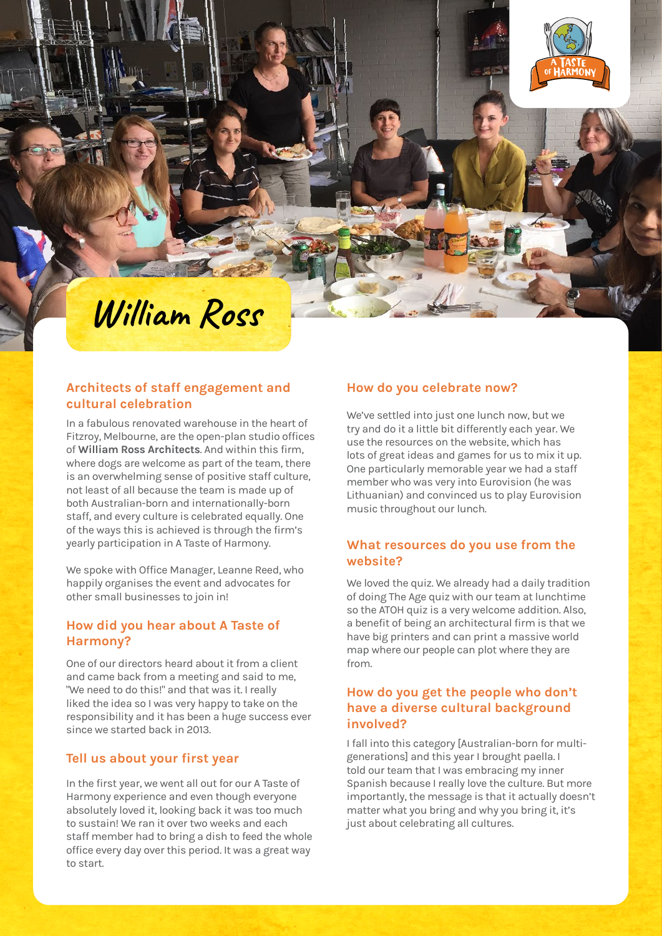

# **William Ross**

### **Architects of staff engagement and cultural celebration**

In a fabulous renovated warehouse in the heart of Fitzroy, Melbourne, are the open-plan studio offices of **William Ross Architects**. And within this firm, where dogs are welcome as part of the team, there is an overwhelming sense of positive staff culture, not least of all because the team is made up of both Australian-born and internationally-born staff, and every culture is celebrated equally. One of the ways this is achieved is through the firm's yearly participation in A Taste of Harmony.

We spoke with Office Manager, Leanne Reed, who happily organises the event and advocates for other small businesses to join in!

### **How did you hear about A Taste of Harmony?**

One of our directors heard about it from a client and came back from a meeting and said to me, "We need to do this!" and that was it. I really liked the idea so I was very happy to take on the responsibility and it has been a huge success ever since we started back in 2013.

#### **Tell us about your first year**

In the first year, we went all out for our A Taste of Harmony experience and even though everyone absolutely loved it, looking back it was too much to sustain! We ran it over two weeks and each staff member had to bring a dish to feed the whole office every day over this period. It was a great way to start.

#### **How do you celebrate now?**

We've settled into just one lunch now, but we try and do it a little bit differently each year. We use the resources on the website, which has lots of great ideas and games for us to mix it up. One particularly memorable year we had a staff member who was very into Eurovision (he was Lithuanian) and convinced us to play Eurovision music throughout our lunch.

#### **What resources do you use from the website?**

We loved the quiz. We already had a daily tradition of doing The Age quiz with our team at lunchtime so the ATOH quiz is a very welcome addition. Also, a benefit of being an architectural firm is that we have big printers and can print a massive world map where our people can plot where they are from.

### **How do you get the people who don't have a diverse cultural background involved?**

I fall into this category [Australian-born for multigenerations] and this year I brought paella. I told our team that I was embracing my inner Spanish because I really love the culture. But more importantly, the message is that it actually doesn't matter what you bring and why you bring it, it's just about celebrating all cultures.